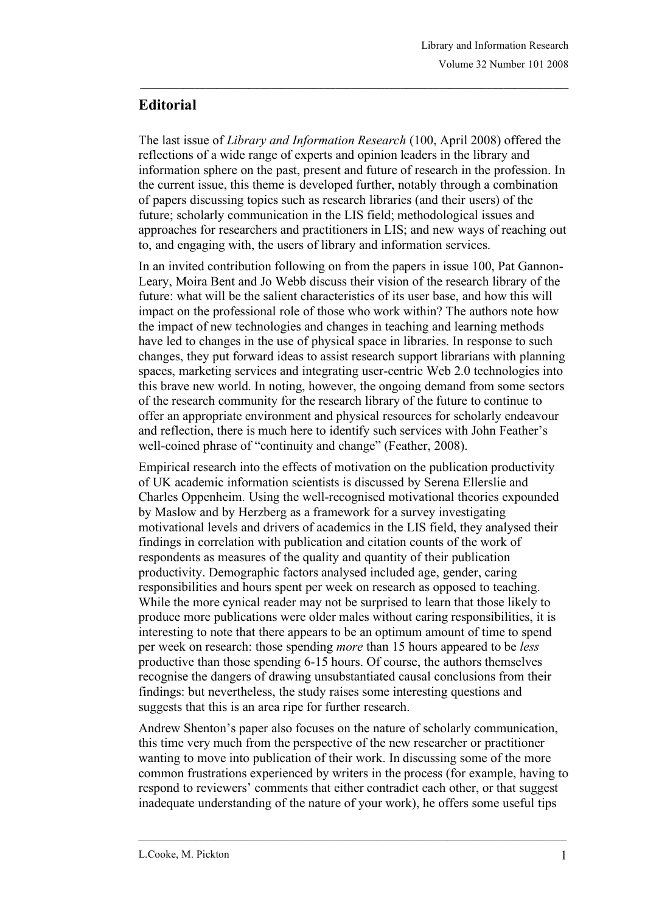## **Editorial**

The last issue of *Library and Information Research* (100, April 2008) offered the reflections of a wide range of experts and opinion leaders in the library and information sphere on the past, present and future of research in the profession. In the current issue, this theme is developed further, notably through a combination of papers discussing topics such as research libraries (and their users) of the future; scholarly communication in the LIS field; methodological issues and approaches for researchers and practitioners in LIS; and new ways of reaching out to, and engaging with, the users of library and information services.

In an invited contribution following on from the papers in issue 100, Pat Gannon-Leary, Moira Bent and Jo Webb discuss their vision of the research library of the future: what will be the salient characteristics of its user base, and how this will impact on the professional role of those who work within? The authors note how the impact of new technologies and changes in teaching and learning methods have led to changes in the use of physical space in libraries. In response to such changes, they put forward ideas to assist research support librarians with planning spaces, marketing services and integrating user-centric Web 2.0 technologies into this brave new world. In noting, however, the ongoing demand from some sectors of the research community for the research library of the future to continue to offer an appropriate environment and physical resources for scholarly endeavour and reflection, there is much here to identify such services with John Feather's well-coined phrase of "continuity and change" (Feather, 2008).

Empirical research into the effects of motivation on the publication productivity of UK academic information scientists is discussed by Serena Ellerslie and Charles Oppenheim. Using the well-recognised motivational theories expounded by Maslow and by Herzberg as a framework for a survey investigating motivational levels and drivers of academics in the LIS field, they analysed their findings in correlation with publication and citation counts of the work of respondents as measures of the quality and quantity of their publication productivity. Demographic factors analysed included age, gender, caring responsibilities and hours spent per week on research as opposed to teaching. While the more cynical reader may not be surprised to learn that those likely to produce more publications were older males without caring responsibilities, it is interesting to note that there appears to be an optimum amount of time to spend per week on research: those spending *more* than 15 hours appeared to be *less* productive than those spending 6-15 hours. Of course, the authors themselves recognise the dangers of drawing unsubstantiated causal conclusions from their findings: but nevertheless, the study raises some interesting questions and suggests that this is an area ripe for further research.

Andrew Shenton's paper also focuses on the nature of scholarly communication, this time very much from the perspective of the new researcher or practitioner wanting to move into publication of their work. In discussing some of the more common frustrations experienced by writers in the process (for example, having to respond to reviewers' comments that either contradict each other, or that suggest inadequate understanding of the nature of your work), he offers some useful tips